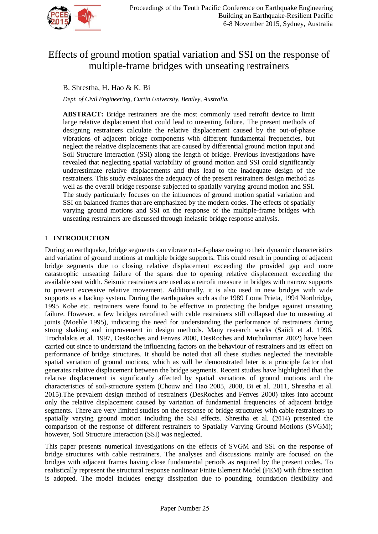

# Effects of ground motion spatial variation and SSI on the response of multiple-frame bridges with unseating restrainers

# B. Shrestha, H. Hao & K. Bi

*Dept. of Civil Engineering, Curtin University, Bentley, Australia.*

**ABSTRACT:** Bridge restrainers are the most commonly used retrofit device to limit large relative displacement that could lead to unseating failure. The present methods of designing restrainers calculate the relative displacement caused by the out-of-phase vibrations of adjacent bridge components with different fundamental frequencies, but neglect the relative displacements that are caused by differential ground motion input and Soil Structure Interaction (SSI) along the length of bridge. Previous investigations have revealed that neglecting spatial variability of ground motion and SSI could significantly underestimate relative displacements and thus lead to the inadequate design of the restrainers. This study evaluates the adequacy of the present restrainers design method as well as the overall bridge response subjected to spatially varying ground motion and SSI. The study particularly focuses on the influences of ground motion spatial variation and SSI on balanced frames that are emphasized by the modern codes. The effects of spatially varying ground motions and SSI on the response of the multiple-frame bridges with unseating restrainers are discussed through inelastic bridge response analysis.

# 1 **INTRODUCTION**

During an earthquake, bridge segments can vibrate out-of-phase owing to their dynamic characteristics and variation of ground motions at multiple bridge supports. This could result in pounding of adjacent bridge segments due to closing relative displacement exceeding the provided gap and more catastrophic unseating failure of the spans due to opening relative displacement exceeding the available seat width. Seismic restrainers are used as a retrofit measure in bridges with narrow supports to prevent excessive relative movement. Additionally, it is also used in new bridges with wide supports as a backup system. During the earthquakes such as the 1989 Loma Prieta, 1994 Northridge, 1995 Kobe etc. restrainers were found to be effective in protecting the bridges against unseating failure. However, a few bridges retrofitted with cable restrainers still collapsed due to unseating at joints (Moehle 1995), indicating the need for understanding the performance of restrainers during strong shaking and improvement in design methods. Many research works (Saiidi et al. 1996, Trochalakis et al. 1997, DesRoches and Fenves 2000, DesRoches and Muthukumar 2002) have been carried out since to understand the influencing factors on the behaviour of restrainers and its effect on performance of bridge structures. It should be noted that all these studies neglected the inevitable spatial variation of ground motions, which as will be demonstrated later is a principle factor that generates relative displacement between the bridge segments. Recent studies have highlighted that the relative displacement is significantly affected by spatial variations of ground motions and the characteristics of soil-structure system (Chouw and Hao 2005, 2008, Bi et al. 2011, Shrestha et al. 2015).The prevalent design method of restrainers (DesRoches and Fenves 2000) takes into account only the relative displacement caused by variation of fundamental frequencies of adjacent bridge segments. There are very limited studies on the response of bridge structures with cable restrainers to spatially varying ground motion including the SSI effects. Shrestha et al. (2014) presented the comparison of the response of different restrainers to Spatially Varying Ground Motions (SVGM); however, Soil Structure Interaction (SSI) was neglected.

This paper presents numerical investigations on the effects of SVGM and SSI on the response of bridge structures with cable restrainers. The analyses and discussions mainly are focused on the bridges with adjacent frames having close fundamental periods as required by the present codes. To realistically represent the structural response nonlinear Finite Element Model (FEM) with fibre section is adopted. The model includes energy dissipation due to pounding, foundation flexibility and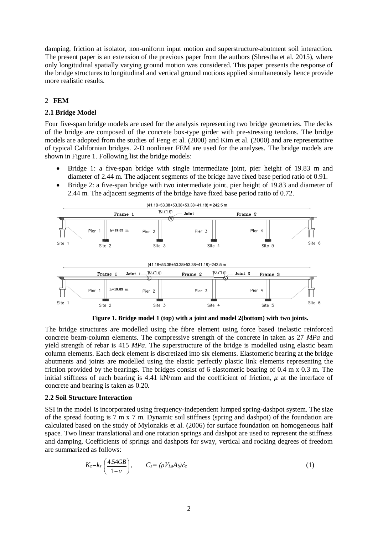damping, friction at isolator, non-uniform input motion and superstructure-abutment soil interaction. The present paper is an extension of the previous paper from the authors (Shrestha et al. 2015), where only longitudinal spatially varying ground motion was considered. This paper presents the response of the bridge structures to longitudinal and vertical ground motions applied simultaneously hence provide more realistic results.

# 2 **FEM**

# **2.1 Bridge Model**

Four five-span bridge models are used for the analysis representing two bridge geometries. The decks of the bridge are composed of the concrete box-type girder with pre-stressing tendons. The bridge models are adopted from the studies of Feng et al. (2000) and Kim et al. (2000) and are representative of typical Californian bridges. 2-D nonlinear FEM are used for the analyses. The bridge models are shown in Figure 1. Following list the bridge models:

- Bridge 1: a five-span bridge with single intermediate joint, pier height of 19.83 m and diameter of 2.44 m. The adjacent segments of the bridge have fixed base period ratio of 0.91.
- Bridge 2: a five-span bridge with two intermediate joint, pier height of 19.83 and diameter of 2.44 m. The adjacent segments of the bridge have fixed base period ratio of 0.72.



**Figure 1. Bridge model 1 (top) with a joint and model 2(bottom) with two joints.**

The bridge structures are modelled using the fibre element using force based inelastic reinforced concrete beam-column elements. The compressive strength of the concrete in taken as 27 *MPa* and yield strength of rebar is 415 *MPa*. The superstructure of the bridge is modelled using elastic beam column elements. Each deck element is discretized into six elements. Elastomeric bearing at the bridge abutments and joints are modelled using the elastic perfectly plastic link elements representing the friction provided by the bearings. The bridges consist of 6 elastomeric bearing of 0.4 m x 0.3 m. The initial stiffness of each bearing is 4.41 kN/mm and the coefficient of friction,  $\mu$  at the interface of concrete and bearing is taken as 0.20.

## **2.2 Soil Structure Interaction**

SSI in the model is incorporated using frequency-independent lumped spring-dashpot system. The size of the spread footing is 7 m x 7 m. Dynamic soil stiffness (spring and dashpot) of the foundation are calculated based on the study of Mylonakis et al. (2006) for surface foundation on homogeneous half space. Two linear translational and one rotation springs and dashpot are used to represent the stiffness and damping. Coefficients of springs and dashpots for sway, vertical and rocking degrees of freedom are summarized as follows:

$$
K_z = k_z \left(\frac{4.54GB}{1-\nu}\right), \qquad C_z = (\rho V_{La} A_b) \hat{c}_z \tag{1}
$$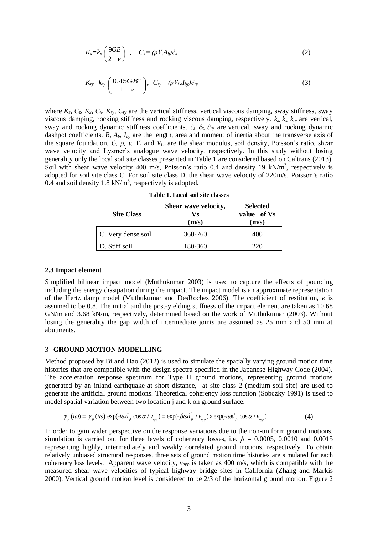$$
K_x = k_x \left(\frac{9GB}{2-\nu}\right) , \quad C_x = (\rho V_x A_b) \hat{c}_x \tag{2}
$$

$$
K_{ry}=k_{ry}\left(\frac{0.45GB^3}{1-\nu}\right),\ \ C_{ry}=(\rho V_{La}I_{by})\hat{c}_{ry}
$$
\n(3)

where  $K_z$ ,  $C_z$ ,  $K_x$ ,  $C_x$ ,  $K_{ry}$ ,  $C_{ry}$  are the vertical stiffness, vertical viscous damping, sway stiffness, sway viscous damping, rocking stiffness and rocking viscous damping, respectively. *kz, kx, kry* are vertical, sway and rocking dynamic stiffness coefficients. *ĉz, ĉx, ĉry* are vertical, sway and rocking dynamic dashpot coefficients. *B, A<sub>b</sub>*, *I<sub>by</sub>* are the length, area and moment of inertia about the transverse axis of the square foundation. *G, ρ, ν, V<sup>s</sup>* and *VLa* are the shear modulus, soil density, Poisson's ratio, shear wave velocity and Lysmer's analogue wave velocity, respectively. In this study without losing generality only the local soil site classes presented in Table 1 are considered based on Caltrans (2013). Soil with shear wave velocity 400 m/s, Poisson's ratio 0.4 and density 19 kN/m<sup>3</sup>, respectively is adopted for soil site class C. For soil site class D, the shear wave velocity of 220m/s, Poisson's ratio 0.4 and soil density 1.8  $kN/m^3$ , respectively is adopted.

| <b>Site Class</b>  | Shear wave velocity,<br>Vs<br>(m/s) | <b>Selected</b><br>value of Vs<br>(m/s) |
|--------------------|-------------------------------------|-----------------------------------------|
| C. Very dense soil | 360-760                             | 400                                     |
| D. Stiff soil      | 180-360                             | 220                                     |

| Table 1. Local soil site classes |  |
|----------------------------------|--|
|----------------------------------|--|

#### **2.3 Impact element**

Simplified bilinear impact model (Muthukumar 2003) is used to capture the effects of pounding including the energy dissipation during the impact. The impact model is an approximate representation of the Hertz damp model (Muthukumar and DesRoches 2006). The coefficient of restitution, *e* is assumed to be 0.8. The initial and the post-yielding stiffness of the impact element are taken as 10.68 GN/m and 3.68 kN/m, respectively, determined based on the work of Muthukumar (2003). Without losing the generality the gap width of intermediate joints are assumed as 25 mm and 50 mm at abutments.

#### 3 **GROUND MOTION MODELLING**

Method proposed by Bi and Hao (2012) is used to simulate the spatially varying ground motion time histories that are compatible with the design spectra specified in the Japanese Highway Code (2004). The acceleration response spectrum for Type II ground motions, representing ground motions generated by an inland earthquake at short distance, at site class 2 (medium soil site) are used to generate the artificial ground motions. Theoretical coherency loss function (Sobczky 1991) is used to model spatial variation between two location j and k on ground surface.<br>  $\gamma_{jk}(i\omega) = \left| \gamma_{jk}(i\omega) \right| \exp(-i\omega d_{jk} \cos \alpha / v_{app}) = \exp(-\beta \omega d_{jk}^2 / v_{app}) \times \exp(i\omega d_{jk} \cos \alpha / v_{app})$  (4)

$$
\gamma_{ik}(i\omega) = |\gamma_{ik}(i\omega)| \exp(-i\omega d_{ik}\cos\alpha / \nu_{\text{max}}) = \exp(-\beta \omega d_{ik}^2 / \nu_{\text{max}}) \times \exp(-i\omega d_{ik}\cos\alpha / \nu_{\text{max}})
$$
(4)

In order to gain wider perspective on the response variations due to the non-uniform ground motions, simulation is carried out for three levels of coherency losses, i.e.  $\beta = 0.0005$ , 0.0010 and 0.0015 representing highly, intermediately and weakly correlated ground motions, respectively. To obtain relatively unbiased structural responses, three sets of ground motion time histories are simulated for each coherency loss levels. Apparent wave velocity, *vapp* is taken as 400 m/s, which is compatible with the measured shear wave velocities of typical highway bridge sites in California (Zhang and Markis 2000). Vertical ground motion level is considered to be 2/3 of the horizontal ground motion. Figure 2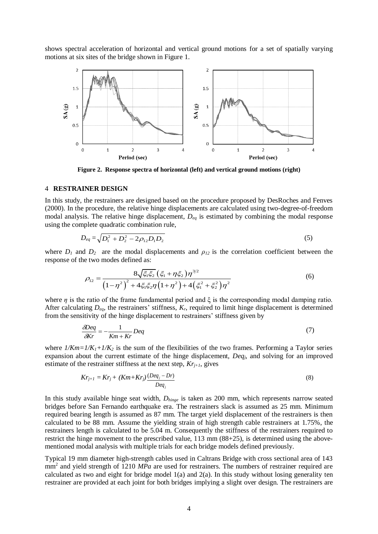shows spectral acceleration of horizontal and vertical ground motions for a set of spatially varying motions at six sites of the bridge shown in Figure 1.



**Figure 2. Response spectra of horizontal (left) and vertical ground motions (right)**

#### 4 **RESTRAINER DESIGN**

In this study, the restrainers are designed based on the procedure proposed by DesRoches and Fenves (2000). In the procedure, the relative hinge displacements are calculated using two-degree-of-freedom modal analysis. The relative hinge displacement, *Deq* is estimated by combining the modal response using the complete quadratic combination rule,

$$
D_{eq} = \sqrt{D_1^2 + D_2^2 - 2\rho_{12}D_1D_2}
$$
\n(5)

where  $D_1$  and  $D_2$  are the modal displacements and  $\rho_{12}$  is the correlation coefficient between the response of the two modes defined as:

e two modes defined as:  
\n
$$
\rho_{12} = \frac{8\sqrt{\xi_1\xi_2} (\xi_1 + \eta\xi_2)\eta^{3/2}}{(1-\eta^2)^2 + 4\xi_1\xi_2\eta (1+\eta^2) + 4(\xi_1^2 + \xi_2^2)\eta^2}
$$
\n(6)

where  $\eta$  is the ratio of the frame fundamental period and  $\xi$  is the corresponding modal damping ratio. After calculating  $D_{eq}$ , the restrainers' stiffness,  $K_r$ , required to limit hinge displacement is determined from the sensitivity of the hinge displacement to restrainers' stiffness given by

$$
\frac{\delta \text{Deq}}{\delta \text{Kr}} = -\frac{1}{\text{Km} + \text{Kr}} \text{Deq} \tag{7}
$$

where  $1/Km=1/K_1+1/K_2$  is the sum of the flexibilities of the two frames. Performing a Taylor series expansion about the current estimate of the hinge displacement, *Deqj*, and solving for an improved estimate of the restrainer stiffness at the next step,  $Kr_{i+1}$ , gives

$$
Kr_{j+1} = Kr_j + (Km+Kr_j)\frac{(Deq_j - Dr)}{Deq_j}
$$
\n
$$
(8)
$$

In this study available hinge seat width, *Dhinge* is taken as 200 mm, which represents narrow seated bridges before San Fernando earthquake era. The restrainers slack is assumed as 25 mm. Minimum required bearing length is assumed as 87 mm. The target yield displacement of the restrainers is then calculated to be 88 mm. Assume the yielding strain of high strength cable restrainers at 1.75%, the restrainers length is calculated to be 5.04 m. Consequently the stiffness of the restrainers required to restrict the hinge movement to the prescribed value, 113 mm (88+25), is determined using the abovementioned modal analysis with multiple trials for each bridge models defined previously.

Typical 19 mm diameter high-strength cables used in Caltrans Bridge with cross sectional area of 143 mm<sup>2</sup> and yield strength of 1210 MPa are used for restrainers. The numbers of restrainer required are calculated as two and eight for bridge model 1(a) and 2(a). In this study without losing generality ten restrainer are provided at each joint for both bridges implying a slight over design. The restrainers are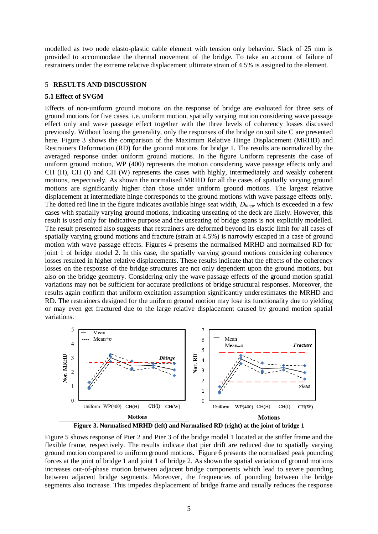modelled as two node elasto-plastic cable element with tension only behavior. Slack of 25 mm is provided to accommodate the thermal movement of the bridge. To take an account of failure of restrainers under the extreme relative displacement ultimate strain of 4.5% is assigned to the element.

### 5 **RESULTS AND DISCUSSION**

### **5.1 Effect of SVGM**

Effects of non-uniform ground motions on the response of bridge are evaluated for three sets of ground motions for five cases, i.e. uniform motion, spatially varying motion considering wave passage effect only and wave passage effect together with the three levels of coherency losses discussed previously. Without losing the generality, only the responses of the bridge on soil site C are presented here. Figure 3 shows the comparison of the Maximum Relative Hinge Displacement (MRHD) and Restrainers Deformation (RD) for the ground motions for bridge 1. The results are normalized by the averaged response under uniform ground motions. In the figure Uniform represents the case of uniform ground motion, WP (400) represents the motion considering wave passage effects only and CH (H), CH (I) and CH (W) represents the cases with highly, intermediately and weakly coherent motions, respectively. As shown the normalised MRHD for all the cases of spatially varying ground motions are significantly higher than those under uniform ground motions. The largest relative displacement at intermediate hinge corresponds to the ground motions with wave passage effects only. The dotted red line in the figure indicates available hinge seat width, *Dhinge* which is exceeded in a few cases with spatially varying ground motions, indicating unseating of the deck are likely. However, this result is used only for indicative purpose and the unseating of bridge spans is not explicitly modelled. The result presented also suggests that restrainers are deformed beyond its elastic limit for all cases of spatially varying ground motions and fracture (strain at 4.5%) is narrowly escaped in a case of ground motion with wave passage effects. Figures 4 presents the normalised MRHD and normalised RD for joint 1 of bridge model 2. In this case, the spatially varying ground motions considering coherency losses resulted in higher relative displacements. These results indicate that the effects of the coherency losses on the response of the bridge structures are not only dependent upon the ground motions, but also on the bridge geometry. Considering only the wave passage effects of the ground motion spatial variations may not be sufficient for accurate predictions of bridge structural responses. Moreover, the results again confirm that uniform excitation assumption significantly underestimates the MRHD and RD. The restrainers designed for the uniform ground motion may lose its functionality due to yielding or may even get fractured due to the large relative displacement caused by ground motion spatial variations.



**Figure 3. Normalised MRHD (left) and Normalised RD (right) at the joint of bridge 1**

Figure 5 shows response of Pier 2 and Pier 3 of the bridge model 1 located at the stiffer frame and the flexible frame, respectively. The results indicate that pier drift are reduced due to spatially varying ground motion compared to uniform ground motions. Figure 6 presents the normalised peak pounding forces at the joint of bridge 1 and joint 1 of bridge 2. As shown the spatial variation of ground motions increases out-of-phase motion between adjacent bridge components which lead to severe pounding between adjacent bridge segments. Moreover, the frequencies of pounding between the bridge segments also increase. This impedes displacement of bridge frame and usually reduces the response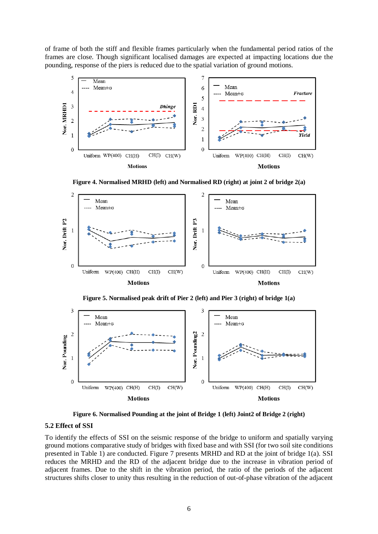of frame of both the stiff and flexible frames particularly when the fundamental period ratios of the frames are close. Though significant localised damages are expected at impacting locations due the pounding, response of the piers is reduced due to the spatial variation of ground motions.



**Figure 4. Normalised MRHD (left) and Normalised RD (right) at joint 2 of bridge 2(a)**



**Figure 5. Normalised peak drift of Pier 2 (left) and Pier 3 (right) of bridge 1(a)**



**Figure 6. Normalised Pounding at the joint of Bridge 1 (left) Joint2 of Bridge 2 (right)**

#### **5.2 Effect of SSI**

To identify the effects of SSI on the seismic response of the bridge to uniform and spatially varying ground motions comparative study of bridges with fixed base and with SSI (for two soil site conditions presented in Table 1) are conducted. Figure 7 presents MRHD and RD at the joint of bridge 1(a). SSI reduces the MRHD and the RD of the adjacent bridge due to the increase in vibration period of adjacent frames. Due to the shift in the vibration period, the ratio of the periods of the adjacent structures shifts closer to unity thus resulting in the reduction of out-of-phase vibration of the adjacent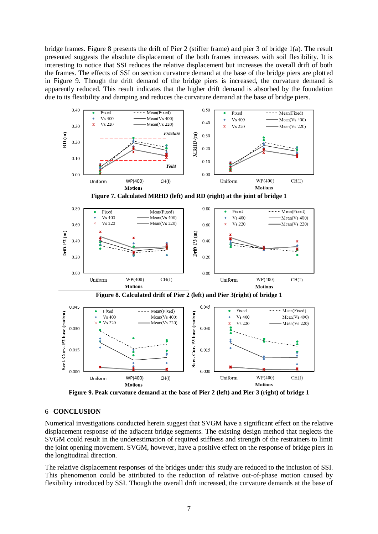bridge frames. Figure 8 presents the drift of Pier 2 (stiffer frame) and pier 3 of bridge 1(a). The result presented suggests the absolute displacement of the both frames increases with soil flexibility. It is interesting to notice that SSI reduces the relative displacement but increases the overall drift of both the frames. The effects of SSI on section curvature demand at the base of the bridge piers are plotted in Figure 9. Though the drift demand of the bridge piers is increased, the curvature demand is apparently reduced. This result indicates that the higher drift demand is absorbed by the foundation due to its flexibility and damping and reduces the curvature demand at the base of bridge piers.



**Figure 9. Peak curvature demand at the base of Pier 2 (left) and Pier 3 (right) of bridge 1**

## 6 **CONCLUSION**

Numerical investigations conducted herein suggest that SVGM have a significant effect on the relative displacement response of the adjacent bridge segments. The existing design method that neglects the SVGM could result in the underestimation of required stiffness and strength of the restrainers to limit the joint opening movement. SVGM, however, have a positive effect on the response of bridge piers in the longitudinal direction.

The relative displacement responses of the bridges under this study are reduced to the inclusion of SSI. This phenomenon could be attributed to the reduction of relative out-of-phase motion caused by flexibility introduced by SSI. Though the overall drift increased, the curvature demands at the base of